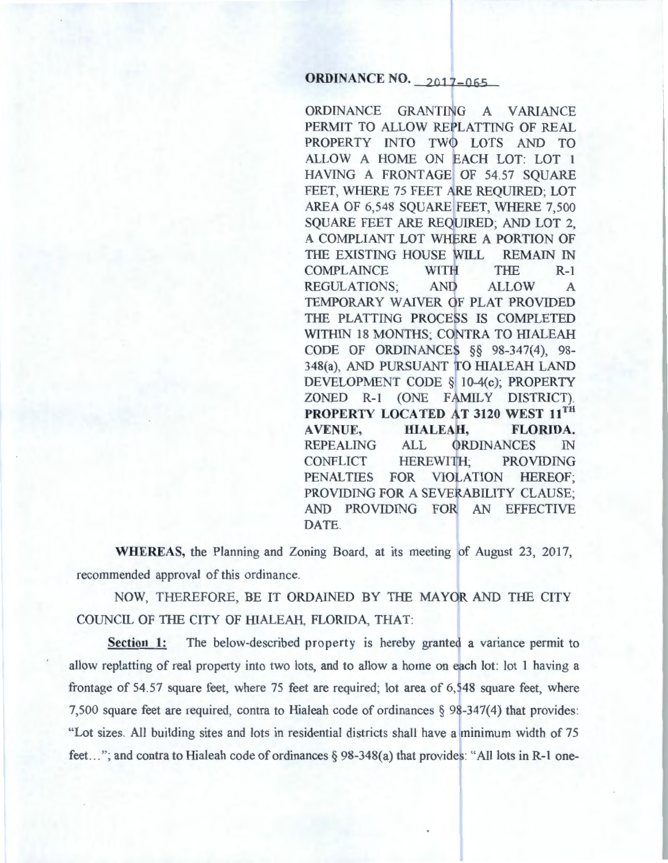# **ORDINANCE NO.** 2017-065

ORDINANCE GRANTING A VARIANCE PERMIT TO ALLOW REPLATTING OF REAL PROPERTY INTO TWO LOTS AND TO ALLOW A HOME ON EACH LOT: LOT 1 HAVING A FRONTAGE OF 54.57 SQUARE FEET, WHERE 75 FEET ARE REQUIRED; LOT AREA OF 6,548 SQUARE FEET, WHERE 7,500 SQUARE FEET ARE REQUIRED; AND LOT 2. A COMPLIANT LOT WHERE A PORTION OF THE EXISTING HOUSE WILL REMAIN IN COMPLAINCE WITFI THE R-1 REGULATIONS; AND ALLOW A TEMPORARY WAIVER OF PLAT PROVIDED THE PLATTING PROCESS IS COMPLETED WITHIN 18 MONTHS; CONTRA TO HIALEAH CODE OF ORDINANCES  $\S$  98-347(4), 98-348(a), AND PURSUANT TO HIALEAH LAND DEVELOPMENT CODE § 10-4(c); PROPERTY ZONED R-1 (ONE FAMILY DISTRICT). PROPERTY LOCATED AT 3120 WEST 11TH AVENUE, HIALEAH, FLORIDA. REPEALING ALL ORDINANCES IN CONFLICT HEREWITH; PROVIDING PENALTIES FOR VIOLATION HEREOF; PROVIDING FOR A SEVERABILITY CLAUSE; AND PROVIDING FOR AN EFFECTIVE DATE.

WHEREAS, the Planning and Zoning Board, at its meeting of August 23, 2017, recommended approval of this ordinance.

NOW, THEREFORE, BE IT ORDAINED BY THE MAYOR AND THE CITY COUNCIL OF THE CITY OF HIALEAH, FLORIDA, THAT:

Section 1: The below-described property is hereby granted a variance permit to allow replatting of real property into two lots, and to allow a home on each lot: lot 1 having a frontage of 54.57 square feet, where 75 feet are required; lot area of  $6,548$  square feet, where 7,500 square feet are required, contra to Hialeah code of ordinances  $\S$  98-347(4) that provides: "Lot sizes. All building sites and lots in residential districts shall have a minimum width of 75 feet..."; and contra to Hialeah code of ordinances  $\S 98-348(a)$  that provides: "All lots in R-1 one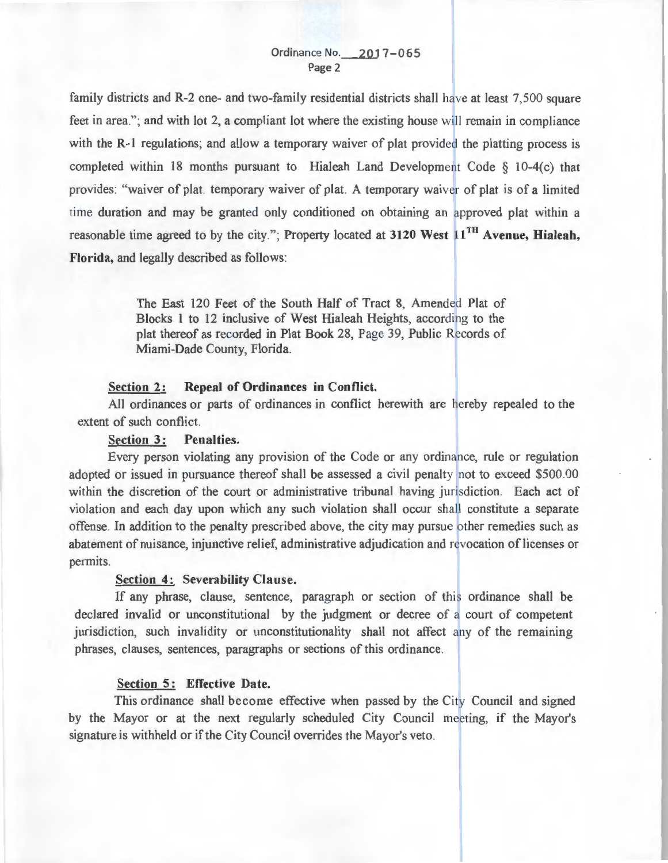family districts and R-2 one- and two-family residential districts shall have at least  $7,500$  square feet in area."; and with lot 2, a compliant lot where the existing house will remain in compliance with the R-1 regulations; and allow a temporary waiver of plat provided the platting process is completed within 18 months pursuant to Hialeah Land Development Code  $\S$  10-4(c) that provides: "waiver of plat. temporary waiver of plat. A temporary waiver of plat is of a limited time duration and may be granted only conditioned on obtaining an approved plat within a reasonable time agreed to by the city."; Property located at 3120 West  $11^{TH}$  Avenue, Hialeah, **Florida,** and legally described as follows:

> The East 120 Feet of the South Half of Tract 8, Amended Plat of Blocks 1 to 12 inclusive of West Hialeah Heights, according to the plat thereof as recorded in Plat Book 28, Page 39, Public Records of Miami-Dade County, Florida.

## **Section 2: Repeal of Ordinances in Conflict.**

All ordinances or parts of ordinances in conflict herewith are hereby repealed to the extent of such conflict.

# **Section 3: Penalties.**

Every person violating any provision of the Code or any ordinance, rule or regulation adopted or issued in pursuance thereof shall be assessed a civil penalty not to exceed \$500.00 within the discretion of the court or administrative tribunal having jurisdiction. Each act of violation and each day upon which any such violation shall occur shall constitute a separate offense. In addition to the penalty prescribed above, the city may pursue other remedies such as abatement of nuisance, injunctive relief, administrative adjudication and revocation of licenses or permits.

#### **Section 4: Severability Clause.**

If any phrase, clause, sentence, paragraph or section of this ordinance shall be declared invalid or unconstitutional by the judgment or decree of a court of competent jurisdiction, such invalidity or unconstitutionality shall not affect any of the remaining phrases, clauses, sentences, paragraphs or sections of this ordinance.

### **Section 5: Effective Date.**

This ordinance shall become effective when passed by the City Council and signed by the Mayor or at the next regularly scheduled City Council meeting, if the Mayor's signature is withheld or if the City Council overrides the Mayor's veto.